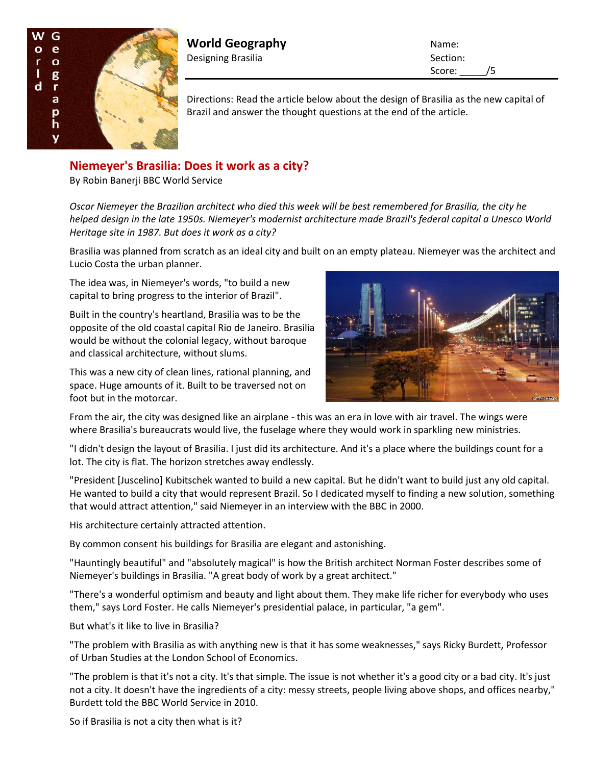

**World Geography** Name: Designing Brasilia Section:

Score: /5

Directions: Read the article below about the design of Brasilia as the new capital of Brazil and answer the thought questions at the end of the article.

## **Niemeyer's Brasilia: Does it work as a city?**

By Robin Banerji BBC World Service

*Oscar Niemeyer the Brazilian architect who died this week will be best remembered for Brasilia, the city he helped design in the late 1950s. Niemeyer's modernist architecture made Brazil's federal capital a Unesco World Heritage site in 1987. But does it work as a city?*

Brasilia was planned from scratch as an ideal city and built on an empty plateau. Niemeyer was the architect and Lucio Costa the urban planner.

The idea was, in Niemeyer's words, "to build a new capital to bring progress to the interior of Brazil".

Built in the country's heartland, Brasilia was to be the opposite of the old coastal capital Rio de Janeiro. Brasilia would be without the colonial legacy, without baroque and classical architecture, without slums.

This was a new city of clean lines, rational planning, and space. Huge amounts of it. Built to be traversed not on foot but in the motorcar.



From the air, the city was designed like an airplane - this was an era in love with air travel. The wings were where Brasilia's bureaucrats would live, the fuselage where they would work in sparkling new ministries.

"I didn't design the layout of Brasilia. I just did its architecture. And it's a place where the buildings count for a lot. The city is flat. The horizon stretches away endlessly.

"President [Juscelino] Kubitschek wanted to build a new capital. But he didn't want to build just any old capital. He wanted to build a city that would represent Brazil. So I dedicated myself to finding a new solution, something that would attract attention," said Niemeyer in an interview with the BBC in 2000.

His architecture certainly attracted attention.

By common consent his buildings for Brasilia are elegant and astonishing.

"Hauntingly beautiful" and "absolutely magical" is how the British architect Norman Foster describes some of Niemeyer's buildings in Brasilia. "A great body of work by a great architect."

"There's a wonderful optimism and beauty and light about them. They make life richer for everybody who uses them," says Lord Foster. He calls Niemeyer's presidential palace, in particular, "a gem".

But what's it like to live in Brasilia?

"The problem with Brasilia as with anything new is that it has some weaknesses," says Ricky Burdett, Professor of Urban Studies at the London School of Economics.

"The problem is that it's not a city. It's that simple. The issue is not whether it's a good city or a bad city. It's just not a city. It doesn't have the ingredients of a city: messy streets, people living above shops, and offices nearby," Burdett told the BBC World Service in 2010.

So if Brasilia is not a city then what is it?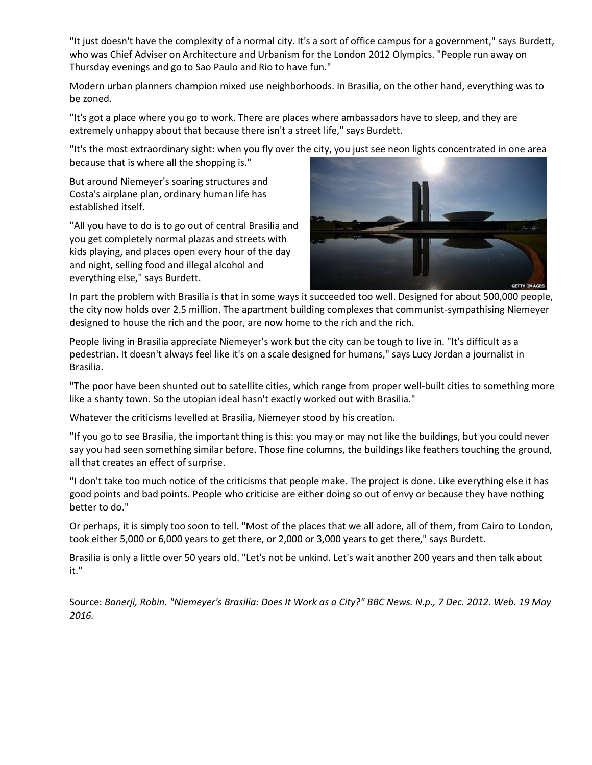"It just doesn't have the complexity of a normal city. It's a sort of office campus for a government," says Burdett, who was Chief Adviser on Architecture and Urbanism for the London 2012 Olympics. "People run away on Thursday evenings and go to Sao Paulo and Rio to have fun."

Modern urban planners champion mixed use neighborhoods. In Brasilia, on the other hand, everything was to be zoned.

"It's got a place where you go to work. There are places where ambassadors have to sleep, and they are extremely unhappy about that because there isn't a street life," says Burdett.

"It's the most extraordinary sight: when you fly over the city, you just see neon lights concentrated in one area because that is where all the shopping is."

But around Niemeyer's soaring structures and Costa's airplane plan, ordinary human life has established itself.

"All you have to do is to go out of central Brasilia and you get completely normal plazas and streets with kids playing, and places open every hour of the day and night, selling food and illegal alcohol and everything else," says Burdett.



In part the problem with Brasilia is that in some ways it succeeded too well. Designed for about 500,000 people, the city now holds over 2.5 million. The apartment building complexes that communist-sympathising Niemeyer designed to house the rich and the poor, are now home to the rich and the rich.

People living in Brasilia appreciate Niemeyer's work but the city can be tough to live in. "It's difficult as a pedestrian. It doesn't always feel like it's on a scale designed for humans," says Lucy Jordan a journalist in Brasilia.

"The poor have been shunted out to satellite cities, which range from proper well-built cities to something more like a shanty town. So the utopian ideal hasn't exactly worked out with Brasilia."

Whatever the criticisms levelled at Brasilia, Niemeyer stood by his creation.

"If you go to see Brasilia, the important thing is this: you may or may not like the buildings, but you could never say you had seen something similar before. Those fine columns, the buildings like feathers touching the ground, all that creates an effect of surprise.

"I don't take too much notice of the criticisms that people make. The project is done. Like everything else it has good points and bad points. People who criticise are either doing so out of envy or because they have nothing better to do."

Or perhaps, it is simply too soon to tell. "Most of the places that we all adore, all of them, from Cairo to London, took either 5,000 or 6,000 years to get there, or 2,000 or 3,000 years to get there," says Burdett.

Brasilia is only a little over 50 years old. "Let's not be unkind. Let's wait another 200 years and then talk about it."

Source: *Banerji, Robin. "Niemeyer's Brasilia: Does It Work as a City?" BBC News. N.p., 7 Dec. 2012. Web. 19 May 2016.*